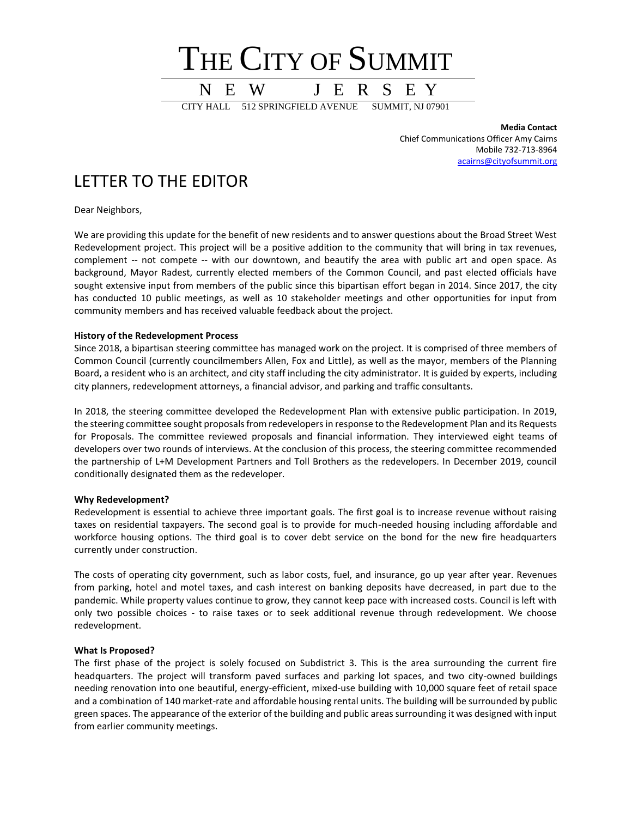

**Media Contact** Chief Communications Officer Amy Cairns Mobile 732-713-8964 [acairns@cityofsummit.org](mailto:acairns@cityofsummit.org)

# LETTER TO THE EDITOR

Dear Neighbors,

We are providing this update for the benefit of new residents and to answer questions about the Broad Street West Redevelopment project. This project will be a positive addition to the community that will bring in tax revenues, complement -- not compete -- with our downtown, and beautify the area with public art and open space. As background, Mayor Radest, currently elected members of the Common Council, and past elected officials have sought extensive input from members of the public since this bipartisan effort began in 2014. Since 2017, the city has conducted 10 public meetings, as well as 10 stakeholder meetings and other opportunities for input from community members and has received valuable feedback about the project.

### **History of the Redevelopment Process**

Since 2018, a bipartisan steering committee has managed work on the project. It is comprised of three members of Common Council (currently councilmembers Allen, Fox and Little), as well as the mayor, members of the Planning Board, a resident who is an architect, and city staff including the city administrator. It is guided by experts, including city planners, redevelopment attorneys, a financial advisor, and parking and traffic consultants.

In 2018, the steering committee developed the Redevelopment Plan with extensive public participation. In 2019, the steering committee sought proposals from redevelopers in response to the Redevelopment Plan and its Requests for Proposals. The committee reviewed proposals and financial information. They interviewed eight teams of developers over two rounds of interviews. At the conclusion of this process, the steering committee recommended the partnership of L+M Development Partners and Toll Brothers as the redevelopers. In December 2019, council conditionally designated them as the redeveloper.

### **Why Redevelopment?**

Redevelopment is essential to achieve three important goals. The first goal is to increase revenue without raising taxes on residential taxpayers. The second goal is to provide for much-needed housing including affordable and workforce housing options. The third goal is to cover debt service on the bond for the new fire headquarters currently under construction.

The costs of operating city government, such as labor costs, fuel, and insurance, go up year after year. Revenues from parking, hotel and motel taxes, and cash interest on banking deposits have decreased, in part due to the pandemic. While property values continue to grow, they cannot keep pace with increased costs. Council is left with only two possible choices - to raise taxes or to seek additional revenue through redevelopment. We choose redevelopment.

### **What Is Proposed?**

The first phase of the project is solely focused on Subdistrict 3. This is the area surrounding the current fire headquarters. The project will transform paved surfaces and parking lot spaces, and two city-owned buildings needing renovation into one beautiful, energy-efficient, mixed-use building with 10,000 square feet of retail space and a combination of 140 market-rate and affordable housing rental units. The building will be surrounded by public green spaces. The appearance of the exterior of the building and public areas surrounding it was designed with input from earlier community meetings.